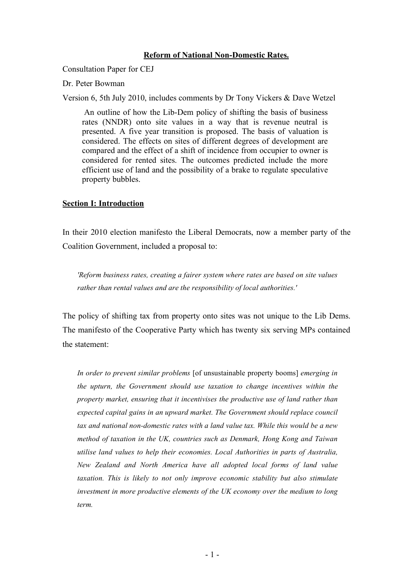## Reform of National Non-Domestic Rates.

Consultation Paper for CEJ

Dr. Peter Bowman

Version 6, 5th July 2010, includes comments by Dr Tony Vickers & Dave Wetzel

An outline of how the Lib-Dem policy of shifting the basis of business rates (NNDR) onto site values in a way that is revenue neutral is presented. A five year transition is proposed. The basis of valuation is considered. The effects on sites of different degrees of development are compared and the effect of a shift of incidence from occupier to owner is considered for rented sites. The outcomes predicted include the more efficient use of land and the possibility of a brake to regulate speculative property bubbles.

### Section I: Introduction

In their 2010 election manifesto the Liberal Democrats, now a member party of the Coalition Government, included a proposal to:

*'Reform business rates, creating a fairer system where rates are based on site values rather than rental values and are the responsibility of local authorities.'*

The policy of shifting tax from property onto sites was not unique to the Lib Dems. The manifesto of the Cooperative Party which has twenty six serving MPs contained the statement:

*In order to prevent similar problems* [of unsustainable property booms] *emerging in the upturn, the Government should use taxation to change incentives within the property market, ensuring that it incentivises the productive use of land rather than expected capital gains in an upward market. The Government should replace council tax and national non-domestic rates with a land value tax. While this would be a new method of taxation in the UK, countries such as Denmark, Hong Kong and Taiwan utilise land values to help their economies. Local Authorities in parts of Australia, New Zealand and North America have all adopted local forms of land value taxation. This is likely to not only improve economic stability but also stimulate investment in more productive elements of the UK economy over the medium to long term.*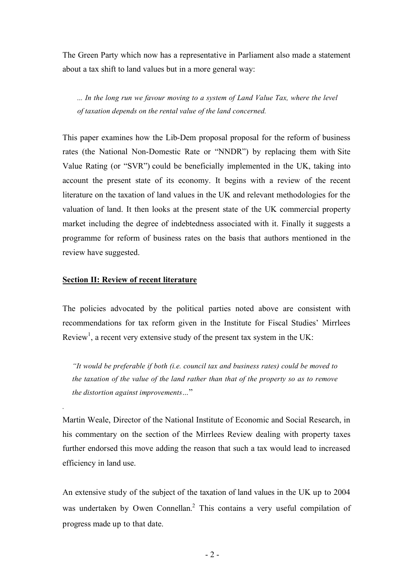The Green Party which now has a representative in Parliament also made a statement about a tax shift to land values but in a more general way:

*... In the long run we favour moving to a system of Land Value Tax, where the level of taxation depends on the rental value of the land concerned.*

This paper examines how the Lib-Dem proposal proposal for the reform of business rates (the National Non-Domestic Rate or "NNDR") by replacing them with Site Value Rating (or "SVR") could be beneficially implemented in the UK, taking into account the present state of its economy. It begins with a review of the recent literature on the taxation of land values in the UK and relevant methodologies for the valuation of land. It then looks at the present state of the UK commercial property market including the degree of indebtedness associated with it. Finally it suggests a programme for reform of business rates on the basis that authors mentioned in the review have suggested.

#### Section II: Review of recent literature

*.*

The policies advocated by the political parties noted above are consistent with recommendations for tax reform given in the Institute for Fiscal Studies' Mirrlees Review<sup>1</sup>, a recent very extensive study of the present tax system in the UK:

*"It would be preferable if both (i.e. council tax and business rates) could be moved to the taxation of the value of the land rather than that of the property so as to remove the distortion against improvements…*"

Martin Weale, Director of the National Institute of Economic and Social Research, in his commentary on the section of the Mirrlees Review dealing with property taxes further endorsed this move adding the reason that such a tax would lead to increased efficiency in land use.

An extensive study of the subject of the taxation of land values in the UK up to 2004 was undertaken by Owen Connellan.<sup>2</sup> This contains a very useful compilation of progress made up to that date.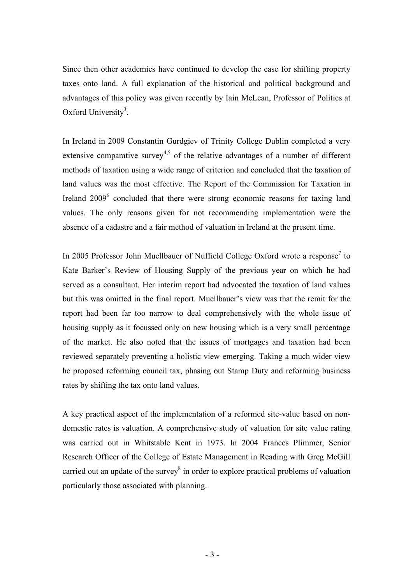Since then other academics have continued to develop the case for shifting property taxes onto land. A full explanation of the historical and political background and advantages of this policy was given recently by Iain McLean, Professor of Politics at Oxford University<sup>3</sup>.

In Ireland in 2009 Constantin Gurdgiev of Trinity College Dublin completed a very extensive comparative survey<sup>4,5</sup> of the relative advantages of a number of different methods of taxation using a wide range of criterion and concluded that the taxation of land values was the most effective. The Report of the Commission for Taxation in Ireland  $2009<sup>6</sup>$  concluded that there were strong economic reasons for taxing land values. The only reasons given for not recommending implementation were the absence of a cadastre and a fair method of valuation in Ireland at the present time.

In 2005 Professor John Muellbauer of Nuffield College Oxford wrote a response<sup>7</sup> to Kate Barker's Review of Housing Supply of the previous year on which he had served as a consultant. Her interim report had advocated the taxation of land values but this was omitted in the final report. Muellbauer's view was that the remit for the report had been far too narrow to deal comprehensively with the whole issue of housing supply as it focussed only on new housing which is a very small percentage of the market. He also noted that the issues of mortgages and taxation had been reviewed separately preventing a holistic view emerging. Taking a much wider view he proposed reforming council tax, phasing out Stamp Duty and reforming business rates by shifting the tax onto land values.

A key practical aspect of the implementation of a reformed site-value based on nondomestic rates is valuation. A comprehensive study of valuation for site value rating was carried out in Whitstable Kent in 1973. In 2004 Frances Plimmer, Senior Research Officer of the College of Estate Management in Reading with Greg McGill carried out an update of the survey<sup>8</sup> in order to explore practical problems of valuation particularly those associated with planning.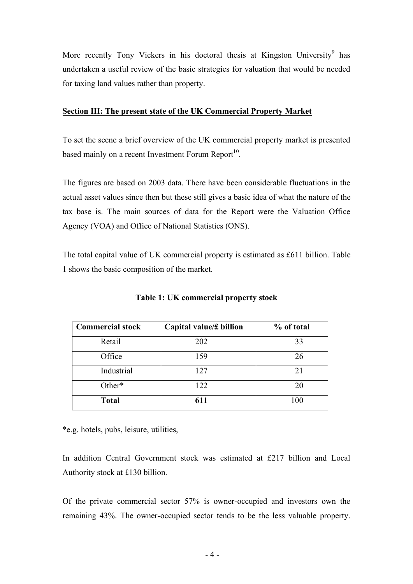More recently Tony Vickers in his doctoral thesis at Kingston University<sup>9</sup> has undertaken a useful review of the basic strategies for valuation that would be needed for taxing land values rather than property.

### Section III: The present state of the UK Commercial Property Market

To set the scene a brief overview of the UK commercial property market is presented based mainly on a recent Investment Forum Report<sup>10</sup>.

The figures are based on 2003 data. There have been considerable fluctuations in the actual asset values since then but these still gives a basic idea of what the nature of the tax base is. The main sources of data for the Report were the Valuation Office Agency (VOA) and Office of National Statistics (ONS).

The total capital value of UK commercial property is estimated as £611 billion. Table 1 shows the basic composition of the market.

| <b>Commercial stock</b> | Capital value/£ billion | % of total |
|-------------------------|-------------------------|------------|
| Retail                  | 202                     | 33         |
| Office                  | 159                     | 26         |
| Industrial              | 127                     | 21         |
| Other*                  | 122                     | 20         |
| <b>Total</b>            | 611                     | 100        |

Table 1: UK commercial property stock

\*e.g. hotels, pubs, leisure, utilities,

In addition Central Government stock was estimated at £217 billion and Local Authority stock at £130 billion.

Of the private commercial sector 57% is owner-occupied and investors own the remaining 43%. The owner-occupied sector tends to be the less valuable property.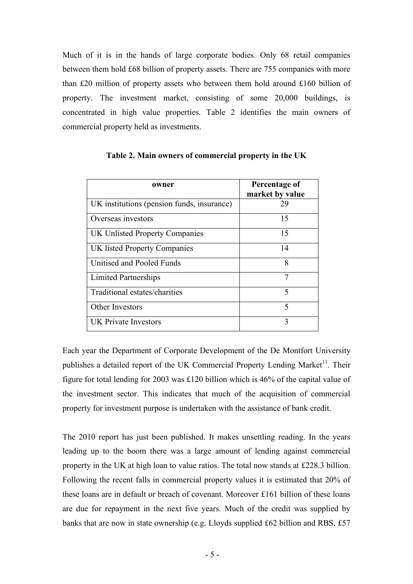Much of it is in the hands of large corporate bodies. Only 68 retail companies between them hold £68 billion of property assets. There are 755 companies with more than £20 million of property assets who between them hold around £160 billion of property. The investment market, consisting of some 20,000 buildings, is concentrated in high value properties. Table 2 identifies the main owners of commercial property held as investments.

| owner                                      | Percentage of<br>market by value |
|--------------------------------------------|----------------------------------|
| UK institutions (pension funds, insurance) | 29                               |
| Overseas investors                         | 15                               |
| UK Unlisted Property Companies             | 15                               |
| UK listed Property Companies               | 14                               |
| Unitised and Pooled Funds                  | 8                                |
| Limited Partnerships                       | 7                                |
| Traditional estates/charities              | $\varsigma$                      |
| Other Investors                            | $\varsigma$                      |
| <b>UK Private Investors</b>                | 3                                |

Table 2. Main owners of commercial property in the UK

Each year the Department of Corporate Development of the De Montfort University publishes a detailed report of the UK Commercial Property Lending Market<sup>11</sup>. Their figure for total lending for 2003 was £120 billion which is 46% of the capital value of the investment sector. This indicates that much of the acquisition of commercial property for investment purpose is undertaken with the assistance of bank credit.

The 2010 report has just been published. It makes unsettling reading. In the years leading up to the boom there was a large amount of lending against commercial property in the UK at high loan to value ratios. The total now stands at £228.3 billion. Following the recent falls in commercial property values it is estimated that 20% of these loans are in default or breach of covenant. Moreover £161 billion of these loans are due for repayment in the next five years. Much of the credit was supplied by banks that are now in state ownership (e.g. Lloyds supplied £62 billion and RBS, £57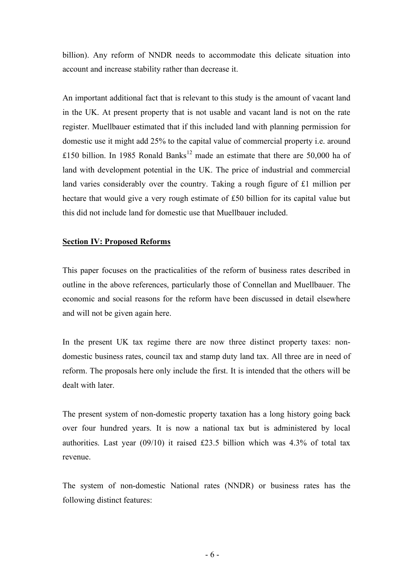billion). Any reform of NNDR needs to accommodate this delicate situation into account and increase stability rather than decrease it.

An important additional fact that is relevant to this study is the amount of vacant land in the UK. At present property that is not usable and vacant land is not on the rate register. Muellbauer estimated that if this included land with planning permission for domestic use it might add 25% to the capital value of commercial property i.e. around £150 billion. In 1985 Ronald Banks<sup>12</sup> made an estimate that there are 50,000 ha of land with development potential in the UK. The price of industrial and commercial land varies considerably over the country. Taking a rough figure of £1 million per hectare that would give a very rough estimate of £50 billion for its capital value but this did not include land for domestic use that Muellbauer included.

#### Section IV: Proposed Reforms

This paper focuses on the practicalities of the reform of business rates described in outline in the above references, particularly those of Connellan and Muellbauer. The economic and social reasons for the reform have been discussed in detail elsewhere and will not be given again here.

In the present UK tax regime there are now three distinct property taxes: nondomestic business rates, council tax and stamp duty land tax. All three are in need of reform. The proposals here only include the first. It is intended that the others will be dealt with later.

The present system of non-domestic property taxation has a long history going back over four hundred years. It is now a national tax but is administered by local authorities. Last year (09/10) it raised £23.5 billion which was 4.3% of total tax revenue.

The system of non-domestic National rates (NNDR) or business rates has the following distinct features: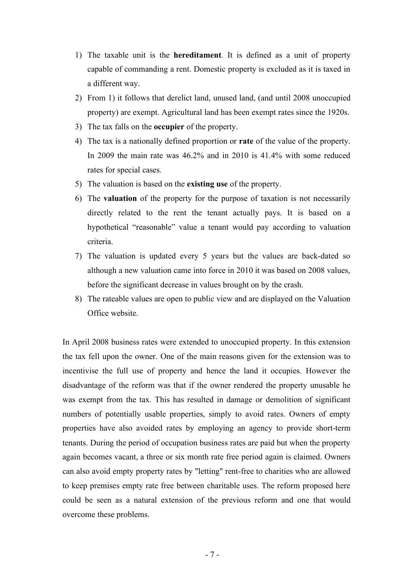- 1) The taxable unit is the hereditament. It is defined as a unit of property capable of commanding a rent. Domestic property is excluded as it is taxed in a different way.
- 2) From 1) it follows that derelict land, unused land, (and until 2008 unoccupied property) are exempt. Agricultural land has been exempt rates since the 1920s.
- 3) The tax falls on the occupier of the property.
- 4) The tax is a nationally defined proportion or rate of the value of the property. In 2009 the main rate was 46.2% and in 2010 is 41.4% with some reduced rates for special cases.
- 5) The valuation is based on the existing use of the property.
- 6) The valuation of the property for the purpose of taxation is not necessarily directly related to the rent the tenant actually pays. It is based on a hypothetical "reasonable" value a tenant would pay according to valuation criteria.
- 7) The valuation is updated every 5 years but the values are back-dated so although a new valuation came into force in 2010 it was based on 2008 values, before the significant decrease in values brought on by the crash.
- 8) The rateable values are open to public view and are displayed on the Valuation Office website.

In April 2008 business rates were extended to unoccupied property. In this extension the tax fell upon the owner. One of the main reasons given for the extension was to incentivise the full use of property and hence the land it occupies. However the disadvantage of the reform was that if the owner rendered the property unusable he was exempt from the tax. This has resulted in damage or demolition of significant numbers of potentially usable properties, simply to avoid rates. Owners of empty properties have also avoided rates by employing an agency to provide short-term tenants. During the period of occupation business rates are paid but when the property again becomes vacant, a three or six month rate free period again is claimed. Owners can also avoid empty property rates by "letting" rent-free to charities who are allowed to keep premises empty rate free between charitable uses. The reform proposed here could be seen as a natural extension of the previous reform and one that would overcome these problems.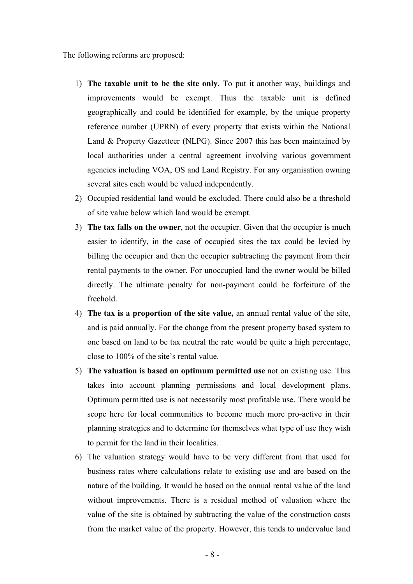The following reforms are proposed:

- 1) The taxable unit to be the site only. To put it another way, buildings and improvements would be exempt. Thus the taxable unit is defined geographically and could be identified for example, by the unique property reference number (UPRN) of every property that exists within the National Land & Property Gazetteer (NLPG). Since 2007 this has been maintained by local authorities under a central agreement involving various government agencies including VOA, OS and Land Registry. For any organisation owning several sites each would be valued independently.
- 2) Occupied residential land would be excluded. There could also be a threshold of site value below which land would be exempt.
- 3) The tax falls on the owner, not the occupier. Given that the occupier is much easier to identify, in the case of occupied sites the tax could be levied by billing the occupier and then the occupier subtracting the payment from their rental payments to the owner. For unoccupied land the owner would be billed directly. The ultimate penalty for non-payment could be forfeiture of the freehold.
- 4) The tax is a proportion of the site value, an annual rental value of the site, and is paid annually. For the change from the present property based system to one based on land to be tax neutral the rate would be quite a high percentage, close to 100% of the site's rental value.
- 5) The valuation is based on optimum permitted use not on existing use. This takes into account planning permissions and local development plans. Optimum permitted use is not necessarily most profitable use. There would be scope here for local communities to become much more pro-active in their planning strategies and to determine for themselves what type of use they wish to permit for the land in their localities.
- 6) The valuation strategy would have to be very different from that used for business rates where calculations relate to existing use and are based on the nature of the building. It would be based on the annual rental value of the land without improvements. There is a residual method of valuation where the value of the site is obtained by subtracting the value of the construction costs from the market value of the property. However, this tends to undervalue land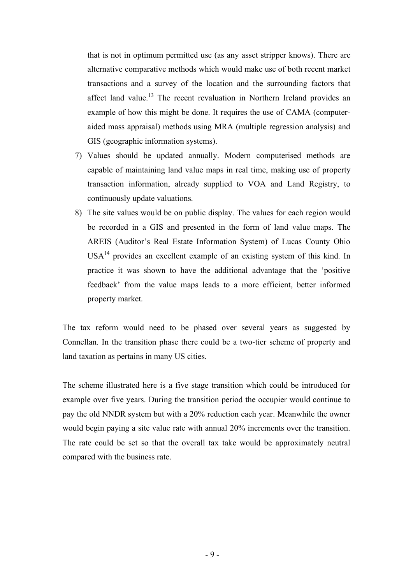that is not in optimum permitted use (as any asset stripper knows). There are alternative comparative methods which would make use of both recent market transactions and a survey of the location and the surrounding factors that affect land value.<sup>13</sup> The recent revaluation in Northern Ireland provides an example of how this might be done. It requires the use of CAMA (computeraided mass appraisal) methods using MRA (multiple regression analysis) and GIS (geographic information systems).

- 7) Values should be updated annually. Modern computerised methods are capable of maintaining land value maps in real time, making use of property transaction information, already supplied to VOA and Land Registry, to continuously update valuations.
- 8) The site values would be on public display. The values for each region would be recorded in a GIS and presented in the form of land value maps. The AREIS (Auditor's Real Estate Information System) of Lucas County Ohio  $USA<sup>14</sup>$  provides an excellent example of an existing system of this kind. In practice it was shown to have the additional advantage that the 'positive feedback' from the value maps leads to a more efficient, better informed property market.

The tax reform would need to be phased over several years as suggested by Connellan. In the transition phase there could be a two-tier scheme of property and land taxation as pertains in many US cities.

The scheme illustrated here is a five stage transition which could be introduced for example over five years. During the transition period the occupier would continue to pay the old NNDR system but with a 20% reduction each year. Meanwhile the owner would begin paying a site value rate with annual 20% increments over the transition. The rate could be set so that the overall tax take would be approximately neutral compared with the business rate.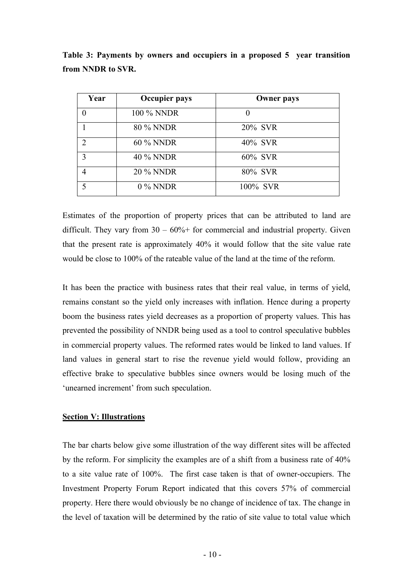| Year           | Occupier pays    | <b>Owner pays</b> |
|----------------|------------------|-------------------|
| 0              | 100 % NNDR       |                   |
|                | <b>80 % NNDR</b> | 20% SVR           |
| $\mathfrak{D}$ | 60 % NNDR        | 40% SVR           |
| 3              | 40 % NNDR        | 60% SVR           |
| 4              | <b>20 % NNDR</b> | 80% SVR           |
| 5              | $0\%$ NNDR       | 100% SVR          |

Table 3: Payments by owners and occupiers in a proposed 5 year transition from NNDR to SVR.

Estimates of the proportion of property prices that can be attributed to land are difficult. They vary from  $30 - 60\%$  for commercial and industrial property. Given that the present rate is approximately 40% it would follow that the site value rate would be close to 100% of the rateable value of the land at the time of the reform.

It has been the practice with business rates that their real value, in terms of yield, remains constant so the yield only increases with inflation. Hence during a property boom the business rates yield decreases as a proportion of property values. This has prevented the possibility of NNDR being used as a tool to control speculative bubbles in commercial property values. The reformed rates would be linked to land values. If land values in general start to rise the revenue yield would follow, providing an effective brake to speculative bubbles since owners would be losing much of the 'unearned increment' from such speculation.

### **Section V: Illustrations**

The bar charts below give some illustration of the way different sites will be affected by the reform. For simplicity the examples are of a shift from a business rate of 40% to a site value rate of 100%. The first case taken is that of owner-occupiers. The Investment Property Forum Report indicated that this covers 57% of commercial property. Here there would obviously be no change of incidence of tax. The change in the level of taxation will be determined by the ratio of site value to total value which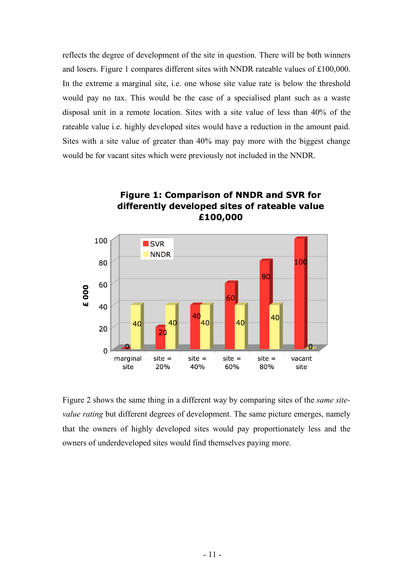reflects the degree of development of the site in question. There will be both winners and losers. Figure 1 compares different sites with NNDR rateable values of £100,000. In the extreme a marginal site, i.e. one whose site value rate is below the threshold would pay no tax. This would be the case of a specialised plant such as a waste disposal unit in a remote location. Sites with a site value of less than 40% of the rateable value i.e. highly developed sites would have a reduction in the amount paid. Sites with a site value of greater than 40% may pay more with the biggest change would be for vacant sites which were previously not included in the NNDR.



Figure 1: Comparison of NNDR and SVR for differently developed sites of rateable value £100,000

Figure 2 shows the same thing in a different way by comparing sites of the *same sitevalue rating* but different degrees of development. The same picture emerges, namely that the owners of highly developed sites would pay proportionately less and the owners of underdeveloped sites would find themselves paying more.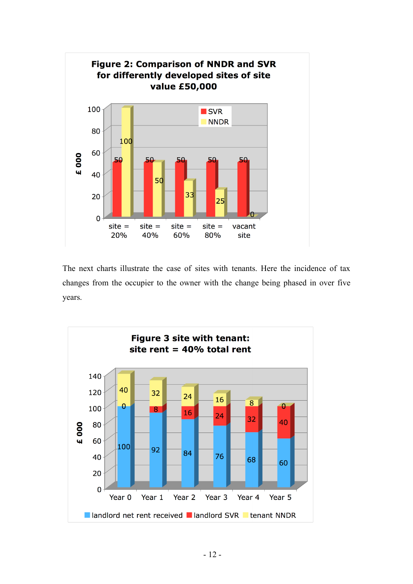

The next charts illustrate the case of sites with tenants. Here the incidence of tax changes from the occupier to the owner with the change being phased in over five years.

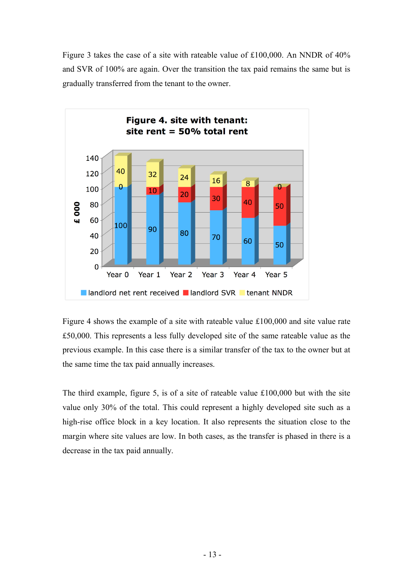Figure 3 takes the case of a site with rateable value of £100,000. An NNDR of 40% and SVR of 100% are again. Over the transition the tax paid remains the same but is gradually transferred from the tenant to the owner.



Figure 4 shows the example of a site with rateable value £100,000 and site value rate £50,000. This represents a less fully developed site of the same rateable value as the previous example. In this case there is a similar transfer of the tax to the owner but at the same time the tax paid annually increases.

The third example, figure 5, is of a site of rateable value £100,000 but with the site value only 30% of the total. This could represent a highly developed site such as a high-rise office block in a key location. It also represents the situation close to the margin where site values are low. In both cases, as the transfer is phased in there is a decrease in the tax paid annually.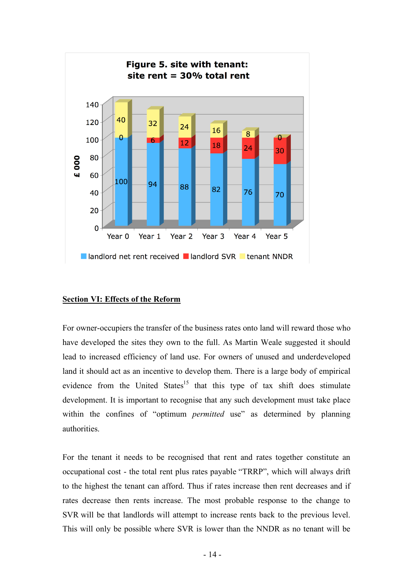

### Section VI: Effects of the Reform

For owner-occupiers the transfer of the business rates onto land will reward those who have developed the sites they own to the full. As Martin Weale suggested it should lead to increased efficiency of land use. For owners of unused and underdeveloped land it should act as an incentive to develop them. There is a large body of empirical evidence from the United States<sup>15</sup> that this type of tax shift does stimulate development. It is important to recognise that any such development must take place within the confines of "optimum *permitted* use" as determined by planning authorities.

For the tenant it needs to be recognised that rent and rates together constitute an occupational cost - the total rent plus rates payable "TRRP", which will always drift to the highest the tenant can afford. Thus if rates increase then rent decreases and if rates decrease then rents increase. The most probable response to the change to SVR will be that landlords will attempt to increase rents back to the previous level. This will only be possible where SVR is lower than the NNDR as no tenant will be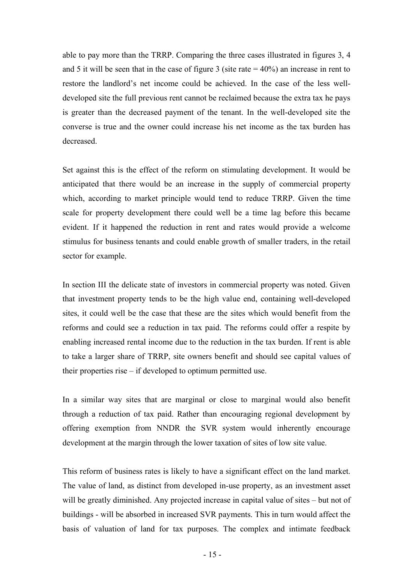able to pay more than the TRRP. Comparing the three cases illustrated in figures 3, 4 and 5 it will be seen that in the case of figure 3 (site rate  $= 40\%$ ) an increase in rent to restore the landlord's net income could be achieved. In the case of the less welldeveloped site the full previous rent cannot be reclaimed because the extra tax he pays is greater than the decreased payment of the tenant. In the well-developed site the converse is true and the owner could increase his net income as the tax burden has decreased.

Set against this is the effect of the reform on stimulating development. It would be anticipated that there would be an increase in the supply of commercial property which, according to market principle would tend to reduce TRRP. Given the time scale for property development there could well be a time lag before this became evident. If it happened the reduction in rent and rates would provide a welcome stimulus for business tenants and could enable growth of smaller traders, in the retail sector for example.

In section III the delicate state of investors in commercial property was noted. Given that investment property tends to be the high value end, containing well-developed sites, it could well be the case that these are the sites which would benefit from the reforms and could see a reduction in tax paid. The reforms could offer a respite by enabling increased rental income due to the reduction in the tax burden. If rent is able to take a larger share of TRRP, site owners benefit and should see capital values of their properties rise – if developed to optimum permitted use.

In a similar way sites that are marginal or close to marginal would also benefit through a reduction of tax paid. Rather than encouraging regional development by offering exemption from NNDR the SVR system would inherently encourage development at the margin through the lower taxation of sites of low site value.

This reform of business rates is likely to have a significant effect on the land market. The value of land, as distinct from developed in-use property, as an investment asset will be greatly diminished. Any projected increase in capital value of sites – but not of buildings - will be absorbed in increased SVR payments. This in turn would affect the basis of valuation of land for tax purposes. The complex and intimate feedback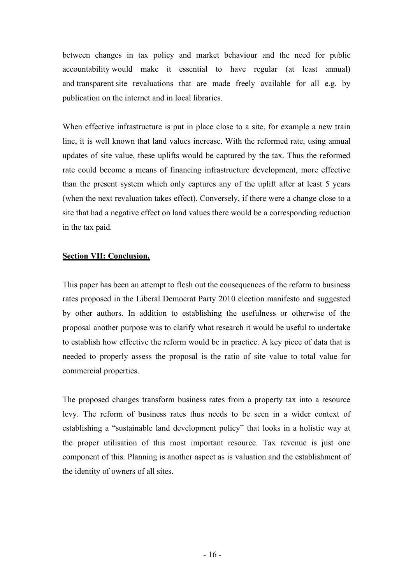between changes in tax policy and market behaviour and the need for public accountability would make it essential to have regular (at least annual) and transparent site revaluations that are made freely available for all e.g. by publication on the internet and in local libraries.

When effective infrastructure is put in place close to a site, for example a new train line, it is well known that land values increase. With the reformed rate, using annual updates of site value, these uplifts would be captured by the tax. Thus the reformed rate could become a means of financing infrastructure development, more effective than the present system which only captures any of the uplift after at least 5 years (when the next revaluation takes effect). Conversely, if there were a change close to a site that had a negative effect on land values there would be a corresponding reduction in the tax paid.

# Section VII: Conclusion.

This paper has been an attempt to flesh out the consequences of the reform to business rates proposed in the Liberal Democrat Party 2010 election manifesto and suggested by other authors. In addition to establishing the usefulness or otherwise of the proposal another purpose was to clarify what research it would be useful to undertake to establish how effective the reform would be in practice. A key piece of data that is needed to properly assess the proposal is the ratio of site value to total value for commercial properties.

The proposed changes transform business rates from a property tax into a resource levy. The reform of business rates thus needs to be seen in a wider context of establishing a "sustainable land development policy" that looks in a holistic way at the proper utilisation of this most important resource. Tax revenue is just one component of this. Planning is another aspect as is valuation and the establishment of the identity of owners of all sites.